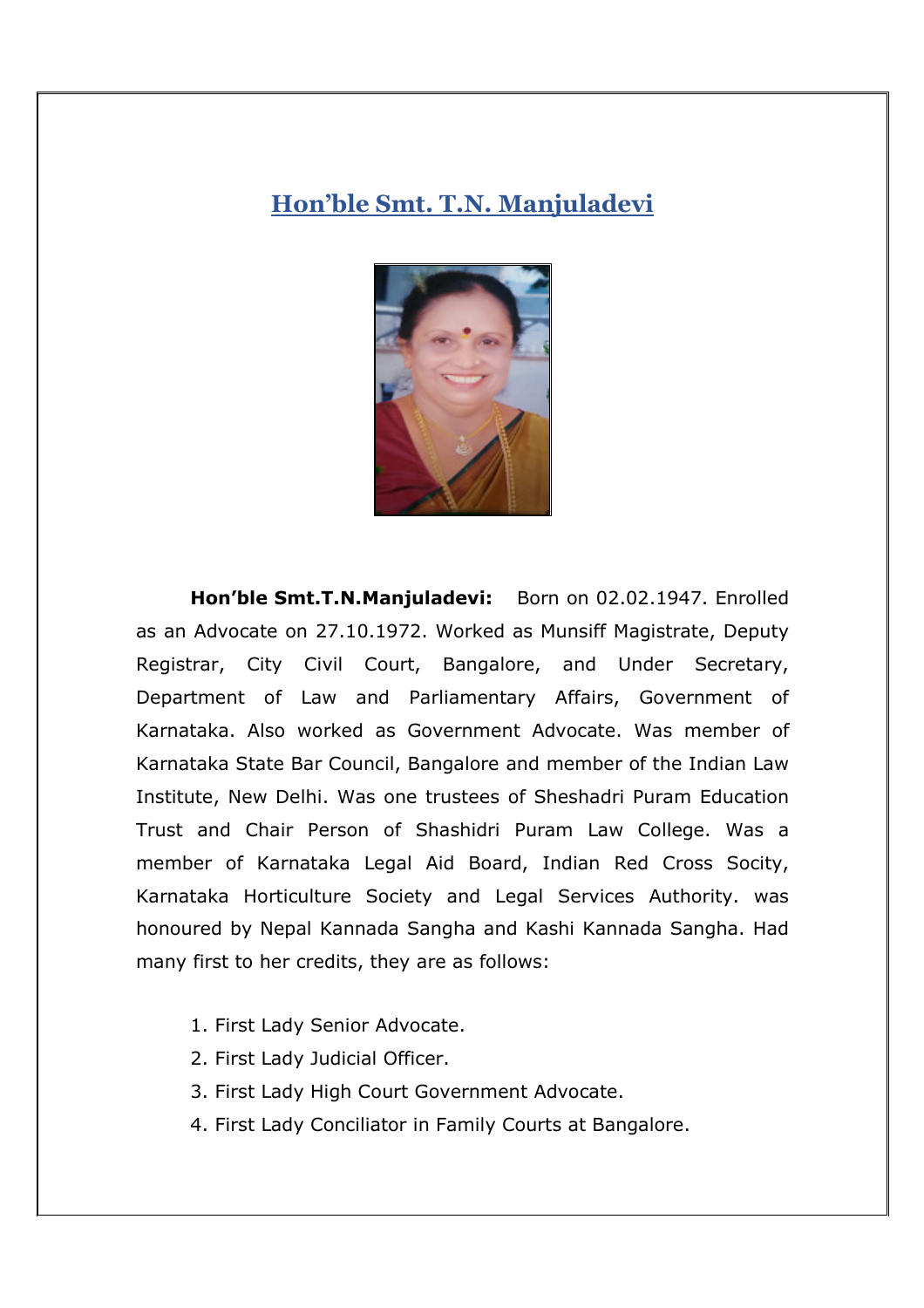## **Hon'ble Smt. T.N. Manjuladevi**



**Hon'ble Smt.T.N.Manjuladevi:** Born on 02.02.1947. Enrolled as an Advocate on 27.10.1972. Worked as Munsiff Magistrate, Deputy Registrar, City Civil Court, Bangalore, and Under Secretary, Department of Law and Parliamentary Affairs, Government of Karnataka. Also worked as Government Advocate. Was member of Karnataka State Bar Council, Bangalore and member of the Indian Law Institute, New Delhi. Was one trustees of Sheshadri Puram Education Trust and Chair Person of Shashidri Puram Law College. Was a member of Karnataka Legal Aid Board, Indian Red Cross Socity, Karnataka Horticulture Society and Legal Services Authority. was honoured by Nepal Kannada Sangha and Kashi Kannada Sangha. Had many first to her credits, they are as follows:

- 1. First Lady Senior Advocate.
- 2. First Lady Judicial Officer.
- 3. First Lady High Court Government Advocate.
- 4. First Lady Conciliator in Family Courts at Bangalore.